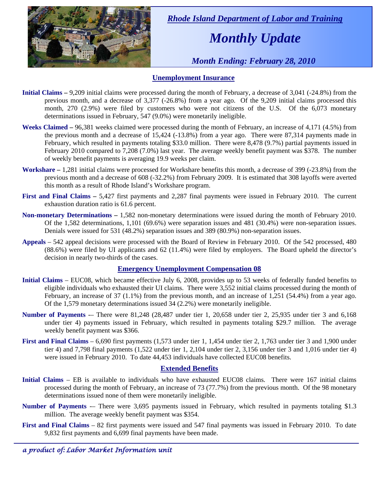

 *Rhode Island Department of Labor and Training* 

# *Monthly Update*

 *Month Ending: February 28, 2010* 

### **Unemployment Insurance**

- **Initial Claims** 9,209 initial claims were processed during the month of February, a decrease of 3,041 (-24.8%) from the previous month, and a decrease of 3,377 (-26.8%) from a year ago. Of the 9,209 initial claims processed this month, 270 (2.9%) were filed by customers who were not citizens of the U.S. Of the 6,073 monetary determinations issued in February, 547 (9.0%) were monetarily ineligible.
- **Weeks Claimed** 96,381 weeks claimed were processed during the month of February, an increase of 4,171 (4.5%) from the previous month and a decrease of 15,424 (-13.8%) from a year ago. There were 87,314 payments made in February, which resulted in payments totaling \$33.0 million. There were 8,478 (9.7%) partial payments issued in February 2010 compared to 7,208 (7.0%) last year. The average weekly benefit payment was \$378. The number of weekly benefit payments is averaging 19.9 weeks per claim.
- **Workshare –** 1,281 initial claims were processed for Workshare benefits this month, a decrease of 399 (-23.8%) from the previous month and a decrease of 608 (-32.2%) from February 2009. It is estimated that 308 layoffs were averted this month as a result of Rhode Island's Workshare program.
- **First and Final Claims –** 5,427 first payments and 2,287 final payments were issued in February 2010. The current exhaustion duration ratio is 61.6 percent.
- **Non-monetary Determinations –** 1,582 non-monetary determinations were issued during the month of February 2010. Of the 1,582 determinations, 1,101 (69.6%) were separation issues and 481 (30.4%) were non-separation issues. Denials were issued for 531 (48.2%) separation issues and 389 (80.9%) non-separation issues.
- **Appeals** 542 appeal decisions were processed with the Board of Review in February 2010. Of the 542 processed, 480 (88.6%) were filed by UI applicants and 62 (11.4%) were filed by employers. The Board upheld the director's decision in nearly two-thirds of the cases.

### **Emergency Unemployment Compensation 08**

- **Initial Claims**  EUC08, which became effective July 6, 2008, provides up to 53 weeks of federally funded benefits to eligible individuals who exhausted their UI claims. There were 3,552 initial claims processed during the month of February, an increase of 37 (1.1%) from the previous month, and an increase of 1,251 (54.4%) from a year ago. Of the 1,579 monetary determinations issued 34 (2.2%) were monetarily ineligible.
- **Number of Payments** -– There were 81,248 (28,487 under tier 1, 20,658 under tier 2, 25,935 under tier 3 and 6,168 under tier 4) payments issued in February, which resulted in payments totaling \$29.7 million. The average weekly benefit payment was \$366.
- **First and Final Claims**  6,690 first payments (1,573 under tier 1, 1,454 under tier 2, 1,763 under tier 3 and 1,900 under tier 4) and 7,798 final payments (1,522 under tier 1, 2,104 under tier 2, 3,156 under tier 3 and 1,016 under tier 4) were issued in February 2010. To date 44,453 individuals have collected EUC08 benefits.

### **Extended Benefits**

- **Initial Claims**  EB is available to individuals who have exhausted EUC08 claims. There were 167 initial claims processed during the month of February, an increase of 73 (77.7%) from the previous month. Of the 98 monetary determinations issued none of them were monetarily ineligible.
- **Number of Payments** -– There were 3,695 payments issued in February, which resulted in payments totaling \$1.3 million. The average weekly benefit payment was \$354.
- **First and Final Claims**  82 first payments were issued and 547 final payments was issued in February 2010. To date 9,832 first payments and 6,699 final payments have been made.